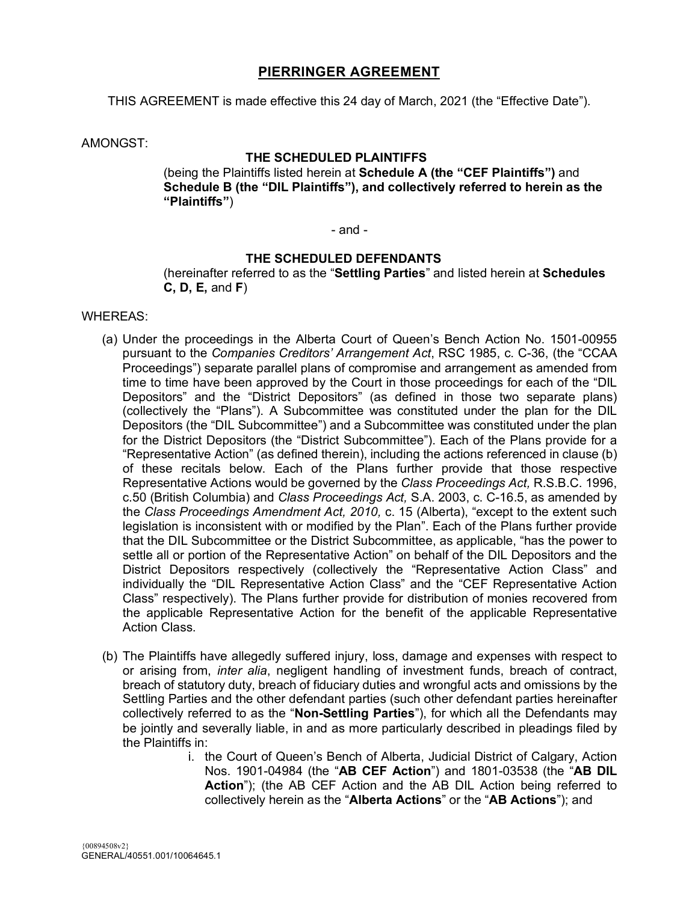### **PIERRINGER AGREEMENT**

THIS AGREEMENT is made effective this 24 day of March, 2021 (the "Effective Date").

AMONGST:

### **THE SCHEDULED PLAINTIFFS**

(being the Plaintiffs listed herein at **Schedule A (the "CEF Plaintiffs")** and **Schedule B (the "DIL Plaintiffs"), and collectively referred to herein as the "Plaintiffs"**)

#### - and -

#### **THE SCHEDULED DEFENDANTS**

(hereinafter referred to as the "**Settling Parties**" and listed herein at **Schedules C, D, E,** and **F**)

#### WHEREAS:

- (a) Under the proceedings in the Alberta Court of Queen's Bench Action No. 1501-00955 pursuant to the *Companies Creditors' Arrangement Act*, RSC 1985, c. C-36, (the "CCAA Proceedings") separate parallel plans of compromise and arrangement as amended from time to time have been approved by the Court in those proceedings for each of the "DIL Depositors" and the "District Depositors" (as defined in those two separate plans) (collectively the "Plans"). A Subcommittee was constituted under the plan for the DIL Depositors (the "DIL Subcommittee") and a Subcommittee was constituted under the plan for the District Depositors (the "District Subcommittee"). Each of the Plans provide for a "Representative Action" (as defined therein), including the actions referenced in clause (b) of these recitals below. Each of the Plans further provide that those respective Representative Actions would be governed by the *Class Proceedings Act,* R.S.B.C. 1996, c.50 (British Columbia) and *Class Proceedings Act,* S.A. 2003, c. C-16.5, as amended by the *Class Proceedings Amendment Act, 2010,* c. 15 (Alberta), "except to the extent such legislation is inconsistent with or modified by the Plan". Each of the Plans further provide that the DIL Subcommittee or the District Subcommittee, as applicable, "has the power to settle all or portion of the Representative Action" on behalf of the DIL Depositors and the District Depositors respectively (collectively the "Representative Action Class" and individually the "DIL Representative Action Class" and the "CEF Representative Action Class" respectively). The Plans further provide for distribution of monies recovered from the applicable Representative Action for the benefit of the applicable Representative Action Class.
- (b) The Plaintiffs have allegedly suffered injury, loss, damage and expenses with respect to or arising from, *inter alia*, negligent handling of investment funds, breach of contract, breach of statutory duty, breach of fiduciary duties and wrongful acts and omissions by the Settling Parties and the other defendant parties (such other defendant parties hereinafter collectively referred to as the "**Non-Settling Parties**"), for which all the Defendants may be jointly and severally liable, in and as more particularly described in pleadings filed by the Plaintiffs in:
	- i. the Court of Queen's Bench of Alberta, Judicial District of Calgary, Action Nos. 1901-04984 (the "**AB CEF Action**") and 1801-03538 (the "**AB DIL Action**"); (the AB CEF Action and the AB DIL Action being referred to collectively herein as the "**Alberta Actions**" or the "**AB Actions**"); and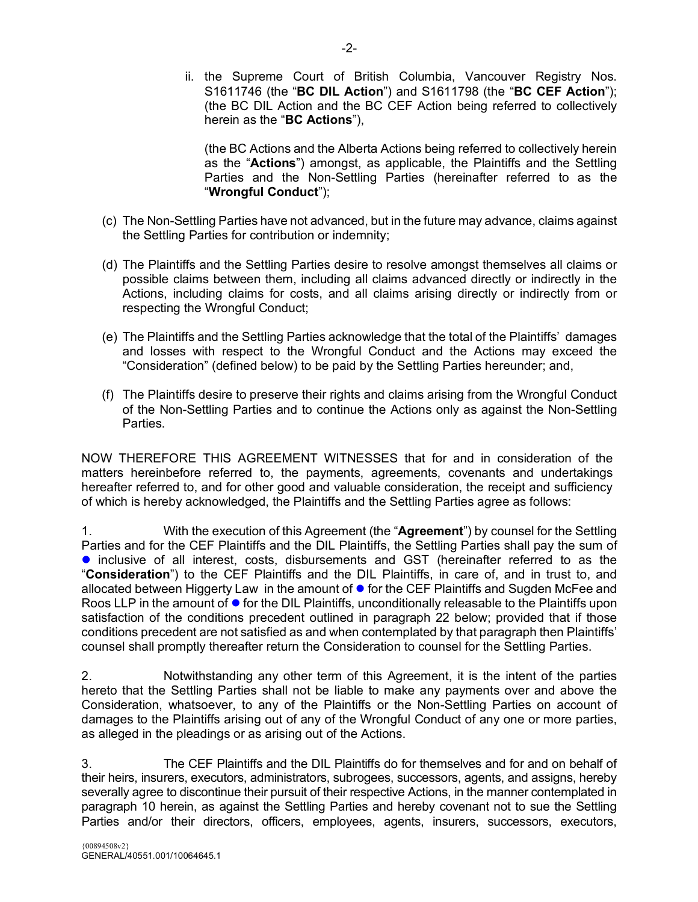ii. the Supreme Court of British Columbia, Vancouver Registry Nos. S1611746 (the "**BC DIL Action**") and S1611798 (the "**BC CEF Action**"); (the BC DIL Action and the BC CEF Action being referred to collectively herein as the "**BC Actions**"),

(the BC Actions and the Alberta Actions being referred to collectively herein as the "**Actions**") amongst, as applicable, the Plaintiffs and the Settling Parties and the Non-Settling Parties (hereinafter referred to as the "**Wrongful Conduct**");

- (c) The Non-Settling Parties have not advanced, but in the future may advance, claims against the Settling Parties for contribution or indemnity;
- (d) The Plaintiffs and the Settling Parties desire to resolve amongst themselves all claims or possible claims between them, including all claims advanced directly or indirectly in the Actions, including claims for costs, and all claims arising directly or indirectly from or respecting the Wrongful Conduct;
- (e) The Plaintiffs and the Settling Parties acknowledge that the total of the Plaintiffs' damages and losses with respect to the Wrongful Conduct and the Actions may exceed the "Consideration" (defined below) to be paid by the Settling Parties hereunder; and,
- (f) The Plaintiffs desire to preserve their rights and claims arising from the Wrongful Conduct of the Non-Settling Parties and to continue the Actions only as against the Non-Settling Parties.

NOW THEREFORE THIS AGREEMENT WITNESSES that for and in consideration of the matters hereinbefore referred to, the payments, agreements, covenants and undertakings hereafter referred to, and for other good and valuable consideration, the receipt and sufficiency of which is hereby acknowledged, the Plaintiffs and the Settling Parties agree as follows:

1. With the execution of this Agreement (the "**Agreement**") by counsel for the Settling Parties and for the CEF Plaintiffs and the DIL Plaintiffs, the Settling Parties shall pay the sum of **•** inclusive of all interest, costs, disbursements and GST (hereinafter referred to as the "**Consideration**") to the CEF Plaintiffs and the DIL Plaintiffs, in care of, and in trust to, and allocated between Higgerty Law in the amount of  $\bullet$  for the CEF Plaintiffs and Sugden McFee and Roos LLP in the amount of  $\bullet$  for the DIL Plaintiffs, unconditionally releasable to the Plaintiffs upon satisfaction of the conditions precedent outlined in paragraph 22 below; provided that if those conditions precedent are not satisfied as and when contemplated by that paragraph then Plaintiffs' counsel shall promptly thereafter return the Consideration to counsel for the Settling Parties.

2. Notwithstanding any other term of this Agreement, it is the intent of the parties hereto that the Settling Parties shall not be liable to make any payments over and above the Consideration, whatsoever, to any of the Plaintiffs or the Non-Settling Parties on account of damages to the Plaintiffs arising out of any of the Wrongful Conduct of any one or more parties, as alleged in the pleadings or as arising out of the Actions.

3. The CEF Plaintiffs and the DIL Plaintiffs do for themselves and for and on behalf of their heirs, insurers, executors, administrators, subrogees, successors, agents, and assigns, hereby severally agree to discontinue their pursuit of their respective Actions, in the manner contemplated in paragraph 10 herein, as against the Settling Parties and hereby covenant not to sue the Settling Parties and/or their directors, officers, employees, agents, insurers, successors, executors,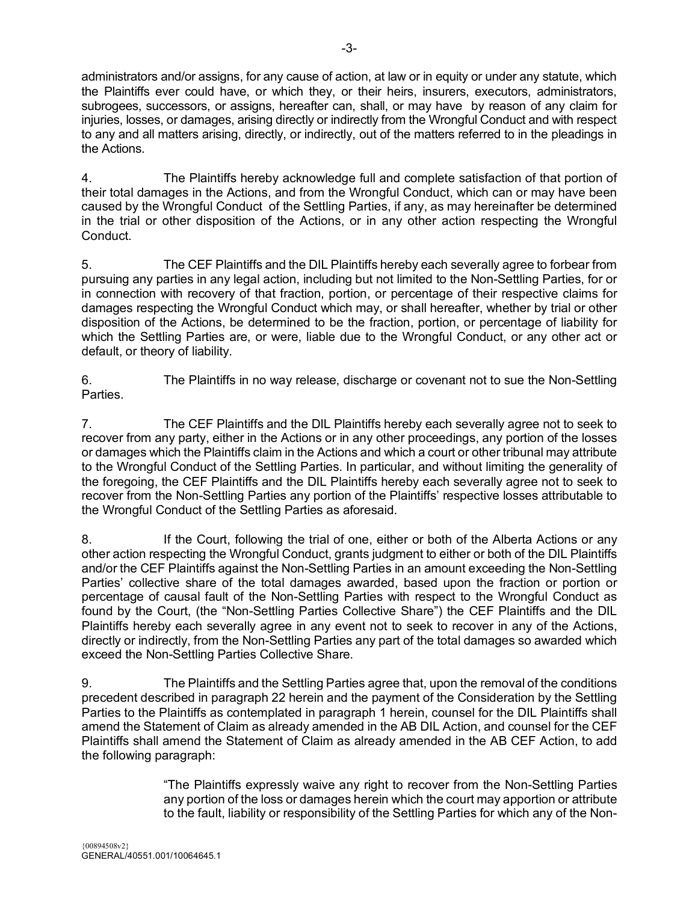administrators and/or assigns, for any cause of action, at law or in equity or under any statute, which the Plaintiffs ever could have, or which they, or their heirs, insurers, executors, administrators, subrogees, successors, or assigns, hereafter can, shall, or may have by reason of any claim for injuries, losses, or damages, arising directly or indirectly from the Wrongful Conduct and with respect to any and all matters arising, directly, or indirectly, out of the matters referred to in the pleadings in the Actions.

4. The Plaintiffs hereby acknowledge full and complete satisfaction of that portion of their total damages in the Actions, and from the Wrongful Conduct, which can or may have been caused by the Wrongful Conduct of the Settling Parties, if any, as may hereinafter be determined in the trial or other disposition of the Actions, or in any other action respecting the Wrongful Conduct.

5. The CEF Plaintiffs and the DIL Plaintiffs hereby each severally agree to forbear from pursuing any parties in any legal action, including but not limited to the Non-Settling Parties, for or in connection with recovery of that fraction, portion, or percentage of their respective claims for damages respecting the Wrongful Conduct which may, or shall hereafter, whether by trial or other disposition of the Actions, be determined to be the fraction, portion, or percentage of liability for which the Settling Parties are, or were, liable due to the Wrongful Conduct, or any other act or default, or theory of liability.

6. The Plaintiffs in no way release, discharge or covenant not to sue the Non-Settling Parties.

7. The CEF Plaintiffs and the DIL Plaintiffs hereby each severally agree not to seek to recover from any party, either in the Actions or in any other proceedings, any portion of the losses or damages which the Plaintiffs claim in the Actions and which a court or other tribunal may attribute to the Wrongful Conduct of the Settling Parties. In particular, and without limiting the generality of the foregoing, the CEF Plaintiffs and the DIL Plaintiffs hereby each severally agree not to seek to recover from the Non-Settling Parties any portion of the Plaintiffs' respective losses attributable to the Wrongful Conduct of the Settling Parties as aforesaid.

8. If the Court, following the trial of one, either or both of the Alberta Actions or any other action respecting the Wrongful Conduct, grants judgment to either or both of the DIL Plaintiffs and/or the CEF Plaintiffs against the Non-Settling Parties in an amount exceeding the Non-Settling Parties' collective share of the total damages awarded, based upon the fraction or portion or percentage of causal fault of the Non-Settling Parties with respect to the Wrongful Conduct as found by the Court, (the "Non-Settling Parties Collective Share") the CEF Plaintiffs and the DIL Plaintiffs hereby each severally agree in any event not to seek to recover in any of the Actions, directly or indirectly, from the Non-Settling Parties any part of the total damages so awarded which exceed the Non-Settling Parties Collective Share.

9. The Plaintiffs and the Settling Parties agree that, upon the removal of the conditions precedent described in paragraph 22 herein and the payment of the Consideration by the Settling Parties to the Plaintiffs as contemplated in paragraph 1 herein, counsel for the DIL Plaintiffs shall amend the Statement of Claim as already amended in the AB DIL Action, and counsel for the CEF Plaintiffs shall amend the Statement of Claim as already amended in the AB CEF Action, to add the following paragraph:

> "The Plaintiffs expressly waive any right to recover from the Non-Settling Parties any portion of the loss or damages herein which the court may apportion or attribute to the fault, liability or responsibility of the Settling Parties for which any of the Non-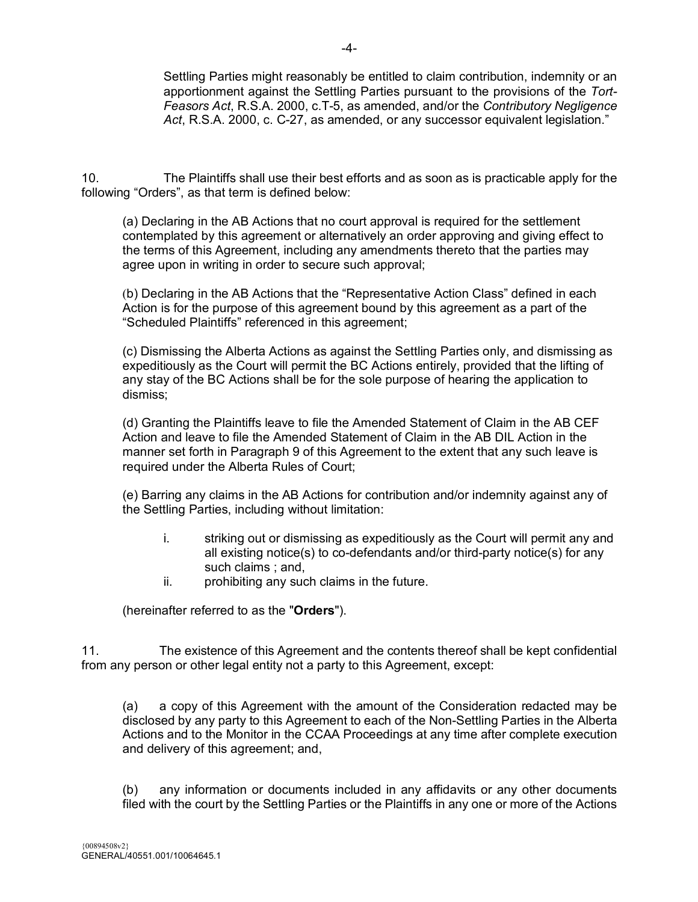Settling Parties might reasonably be entitled to claim contribution, indemnity or an apportionment against the Settling Parties pursuant to the provisions of the *Tort-Feasors Act*, R.S.A. 2000, c.T-5, as amended, and/or the *Contributory Negligence Act*, R.S.A. 2000, c. C-27, as amended, or any successor equivalent legislation."

10. The Plaintiffs shall use their best efforts and as soon as is practicable apply for the following "Orders", as that term is defined below:

(a) Declaring in the AB Actions that no court approval is required for the settlement contemplated by this agreement or alternatively an order approving and giving effect to the terms of this Agreement, including any amendments thereto that the parties may agree upon in writing in order to secure such approval;

(b) Declaring in the AB Actions that the "Representative Action Class" defined in each Action is for the purpose of this agreement bound by this agreement as a part of the "Scheduled Plaintiffs" referenced in this agreement;

(c) Dismissing the Alberta Actions as against the Settling Parties only, and dismissing as expeditiously as the Court will permit the BC Actions entirely, provided that the lifting of any stay of the BC Actions shall be for the sole purpose of hearing the application to dismiss;

(d) Granting the Plaintiffs leave to file the Amended Statement of Claim in the AB CEF Action and leave to file the Amended Statement of Claim in the AB DIL Action in the manner set forth in Paragraph 9 of this Agreement to the extent that any such leave is required under the Alberta Rules of Court;

(e) Barring any claims in the AB Actions for contribution and/or indemnity against any of the Settling Parties, including without limitation:

- i. striking out or dismissing as expeditiously as the Court will permit any and all existing notice(s) to co-defendants and/or third-party notice(s) for any such claims : and,
- ii. prohibiting any such claims in the future.

(hereinafter referred to as the "**Orders**").

11. The existence of this Agreement and the contents thereof shall be kept confidential from any person or other legal entity not a party to this Agreement, except:

(a) a copy of this Agreement with the amount of the Consideration redacted may be disclosed by any party to this Agreement to each of the Non-Settling Parties in the Alberta Actions and to the Monitor in the CCAA Proceedings at any time after complete execution and delivery of this agreement; and,

(b) any information or documents included in any affidavits or any other documents filed with the court by the Settling Parties or the Plaintiffs in any one or more of the Actions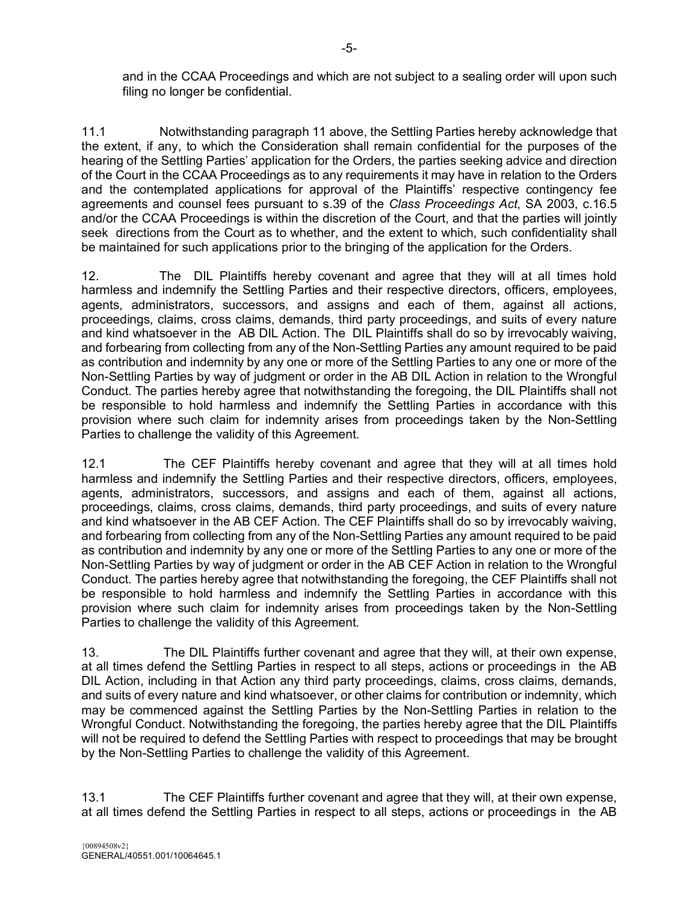and in the CCAA Proceedings and which are not subject to a sealing order will upon such filing no longer be confidential.

11.1 Notwithstanding paragraph 11 above, the Settling Parties hereby acknowledge that the extent, if any, to which the Consideration shall remain confidential for the purposes of the hearing of the Settling Parties' application for the Orders, the parties seeking advice and direction of the Court in the CCAA Proceedings as to any requirements it may have in relation to the Orders and the contemplated applications for approval of the Plaintiffs' respective contingency fee agreements and counsel fees pursuant to s.39 of the *Class Proceedings Act*, SA 2003, c.16.5 and/or the CCAA Proceedings is within the discretion of the Court, and that the parties will jointly seek directions from the Court as to whether, and the extent to which, such confidentiality shall be maintained for such applications prior to the bringing of the application for the Orders.

12. The DIL Plaintiffs hereby covenant and agree that they will at all times hold harmless and indemnify the Settling Parties and their respective directors, officers, employees, agents, administrators, successors, and assigns and each of them, against all actions, proceedings, claims, cross claims, demands, third party proceedings, and suits of every nature and kind whatsoever in the AB DIL Action. The DIL Plaintiffs shall do so by irrevocably waiving, and forbearing from collecting from any of the Non-Settling Parties any amount required to be paid as contribution and indemnity by any one or more of the Settling Parties to any one or more of the Non-Settling Parties by way of judgment or order in the AB DIL Action in relation to the Wrongful Conduct. The parties hereby agree that notwithstanding the foregoing, the DIL Plaintiffs shall not be responsible to hold harmless and indemnify the Settling Parties in accordance with this provision where such claim for indemnity arises from proceedings taken by the Non-Settling Parties to challenge the validity of this Agreement.

12.1 The CEF Plaintiffs hereby covenant and agree that they will at all times hold harmless and indemnify the Settling Parties and their respective directors, officers, employees, agents, administrators, successors, and assigns and each of them, against all actions, proceedings, claims, cross claims, demands, third party proceedings, and suits of every nature and kind whatsoever in the AB CEF Action. The CEF Plaintiffs shall do so by irrevocably waiving, and forbearing from collecting from any of the Non-Settling Parties any amount required to be paid as contribution and indemnity by any one or more of the Settling Parties to any one or more of the Non-Settling Parties by way of judgment or order in the AB CEF Action in relation to the Wrongful Conduct. The parties hereby agree that notwithstanding the foregoing, the CEF Plaintiffs shall not be responsible to hold harmless and indemnify the Settling Parties in accordance with this provision where such claim for indemnity arises from proceedings taken by the Non-Settling Parties to challenge the validity of this Agreement.

13. The DIL Plaintiffs further covenant and agree that they will, at their own expense, at all times defend the Settling Parties in respect to all steps, actions or proceedings in the AB DIL Action, including in that Action any third party proceedings, claims, cross claims, demands, and suits of every nature and kind whatsoever, or other claims for contribution or indemnity, which may be commenced against the Settling Parties by the Non-Settling Parties in relation to the Wrongful Conduct. Notwithstanding the foregoing, the parties hereby agree that the DIL Plaintiffs will not be required to defend the Settling Parties with respect to proceedings that may be brought by the Non-Settling Parties to challenge the validity of this Agreement.

13.1 The CEF Plaintiffs further covenant and agree that they will, at their own expense, at all times defend the Settling Parties in respect to all steps, actions or proceedings in the AB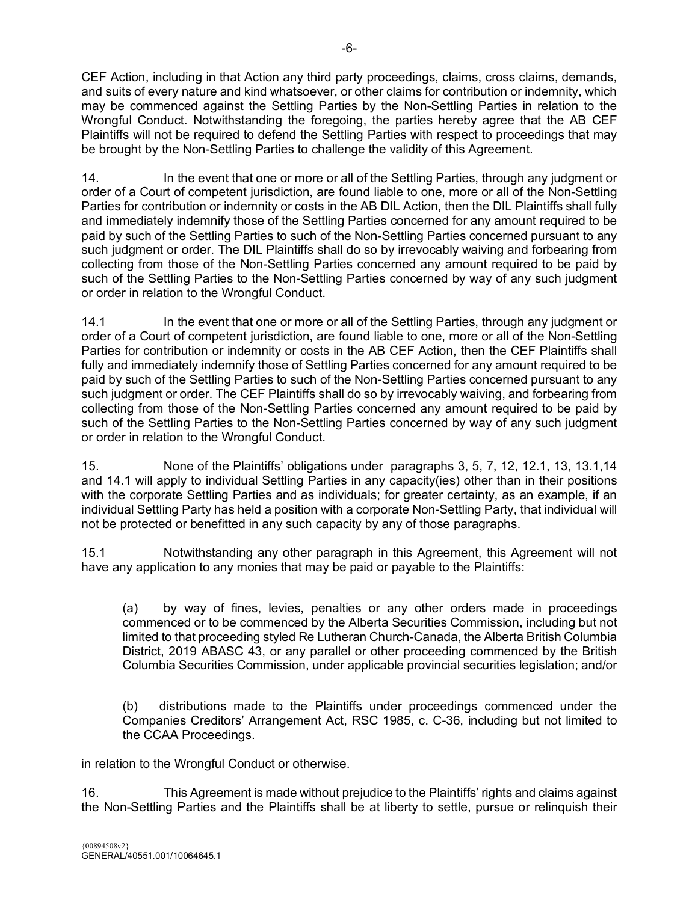CEF Action, including in that Action any third party proceedings, claims, cross claims, demands, and suits of every nature and kind whatsoever, or other claims for contribution or indemnity, which may be commenced against the Settling Parties by the Non-Settling Parties in relation to the Wrongful Conduct. Notwithstanding the foregoing, the parties hereby agree that the AB CEF Plaintiffs will not be required to defend the Settling Parties with respect to proceedings that may be brought by the Non-Settling Parties to challenge the validity of this Agreement.

14. In the event that one or more or all of the Settling Parties, through any judgment or order of a Court of competent jurisdiction, are found liable to one, more or all of the Non-Settling Parties for contribution or indemnity or costs in the AB DIL Action, then the DIL Plaintiffs shall fully and immediately indemnify those of the Settling Parties concerned for any amount required to be paid by such of the Settling Parties to such of the Non-Settling Parties concerned pursuant to any such judgment or order. The DIL Plaintiffs shall do so by irrevocably waiving and forbearing from collecting from those of the Non-Settling Parties concerned any amount required to be paid by such of the Settling Parties to the Non-Settling Parties concerned by way of any such judgment or order in relation to the Wrongful Conduct.

14.1 In the event that one or more or all of the Settling Parties, through any judgment or order of a Court of competent jurisdiction, are found liable to one, more or all of the Non-Settling Parties for contribution or indemnity or costs in the AB CEF Action, then the CEF Plaintiffs shall fully and immediately indemnify those of Settling Parties concerned for any amount required to be paid by such of the Settling Parties to such of the Non-Settling Parties concerned pursuant to any such judgment or order. The CEF Plaintiffs shall do so by irrevocably waiving, and forbearing from collecting from those of the Non-Settling Parties concerned any amount required to be paid by such of the Settling Parties to the Non-Settling Parties concerned by way of any such judgment or order in relation to the Wrongful Conduct.

15. None of the Plaintiffs' obligations under paragraphs 3, 5, 7, 12, 12.1, 13, 13.1,14 and 14.1 will apply to individual Settling Parties in any capacity(ies) other than in their positions with the corporate Settling Parties and as individuals; for greater certainty, as an example, if an individual Settling Party has held a position with a corporate Non-Settling Party, that individual will not be protected or benefitted in any such capacity by any of those paragraphs.

15.1 Notwithstanding any other paragraph in this Agreement, this Agreement will not have any application to any monies that may be paid or payable to the Plaintiffs:

(a) by way of fines, levies, penalties or any other orders made in proceedings commenced or to be commenced by the Alberta Securities Commission, including but not limited to that proceeding styled Re Lutheran Church-Canada, the Alberta British Columbia District, 2019 ABASC 43, or any parallel or other proceeding commenced by the British Columbia Securities Commission, under applicable provincial securities legislation; and/or

(b) distributions made to the Plaintiffs under proceedings commenced under the Companies Creditors' Arrangement Act, RSC 1985, c. C-36, including but not limited to the CCAA Proceedings.

in relation to the Wrongful Conduct or otherwise.

16. This Agreement is made without prejudice to the Plaintiffs' rights and claims against the Non-Settling Parties and the Plaintiffs shall be at liberty to settle, pursue or relinquish their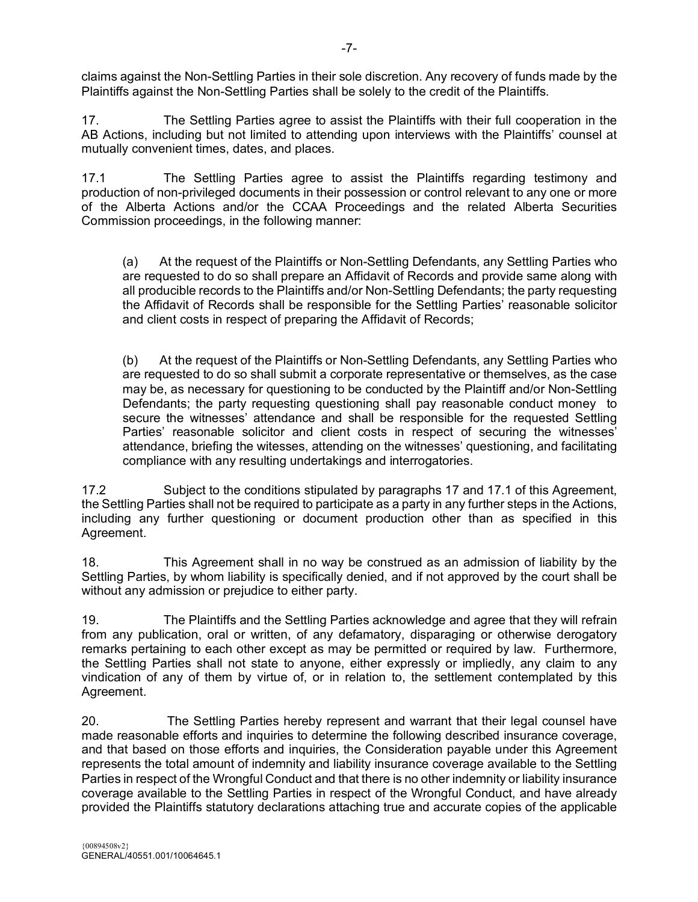claims against the Non-Settling Parties in their sole discretion. Any recovery of funds made by the Plaintiffs against the Non-Settling Parties shall be solely to the credit of the Plaintiffs.

17. The Settling Parties agree to assist the Plaintiffs with their full cooperation in the AB Actions, including but not limited to attending upon interviews with the Plaintiffs' counsel at mutually convenient times, dates, and places.

17.1 The Settling Parties agree to assist the Plaintiffs regarding testimony and production of non-privileged documents in their possession or control relevant to any one or more of the Alberta Actions and/or the CCAA Proceedings and the related Alberta Securities Commission proceedings, in the following manner:

(a) At the request of the Plaintiffs or Non-Settling Defendants, any Settling Parties who are requested to do so shall prepare an Affidavit of Records and provide same along with all producible records to the Plaintiffs and/or Non-Settling Defendants; the party requesting the Affidavit of Records shall be responsible for the Settling Parties' reasonable solicitor and client costs in respect of preparing the Affidavit of Records;

(b) At the request of the Plaintiffs or Non-Settling Defendants, any Settling Parties who are requested to do so shall submit a corporate representative or themselves, as the case may be, as necessary for questioning to be conducted by the Plaintiff and/or Non-Settling Defendants; the party requesting questioning shall pay reasonable conduct money to secure the witnesses' attendance and shall be responsible for the requested Settling Parties' reasonable solicitor and client costs in respect of securing the witnesses' attendance, briefing the witesses, attending on the witnesses' questioning, and facilitating compliance with any resulting undertakings and interrogatories.

17.2 Subject to the conditions stipulated by paragraphs 17 and 17.1 of this Agreement, the Settling Parties shall not be required to participate as a party in any further steps in the Actions, including any further questioning or document production other than as specified in this Agreement.

18. This Agreement shall in no way be construed as an admission of liability by the Settling Parties, by whom liability is specifically denied, and if not approved by the court shall be without any admission or prejudice to either party.

19. The Plaintiffs and the Settling Parties acknowledge and agree that they will refrain from any publication, oral or written, of any defamatory, disparaging or otherwise derogatory remarks pertaining to each other except as may be permitted or required by law. Furthermore, the Settling Parties shall not state to anyone, either expressly or impliedly, any claim to any vindication of any of them by virtue of, or in relation to, the settlement contemplated by this Agreement.

20. The Settling Parties hereby represent and warrant that their legal counsel have made reasonable efforts and inquiries to determine the following described insurance coverage, and that based on those efforts and inquiries, the Consideration payable under this Agreement represents the total amount of indemnity and liability insurance coverage available to the Settling Parties in respect of the Wrongful Conduct and that there is no other indemnity or liability insurance coverage available to the Settling Parties in respect of the Wrongful Conduct, and have already provided the Plaintiffs statutory declarations attaching true and accurate copies of the applicable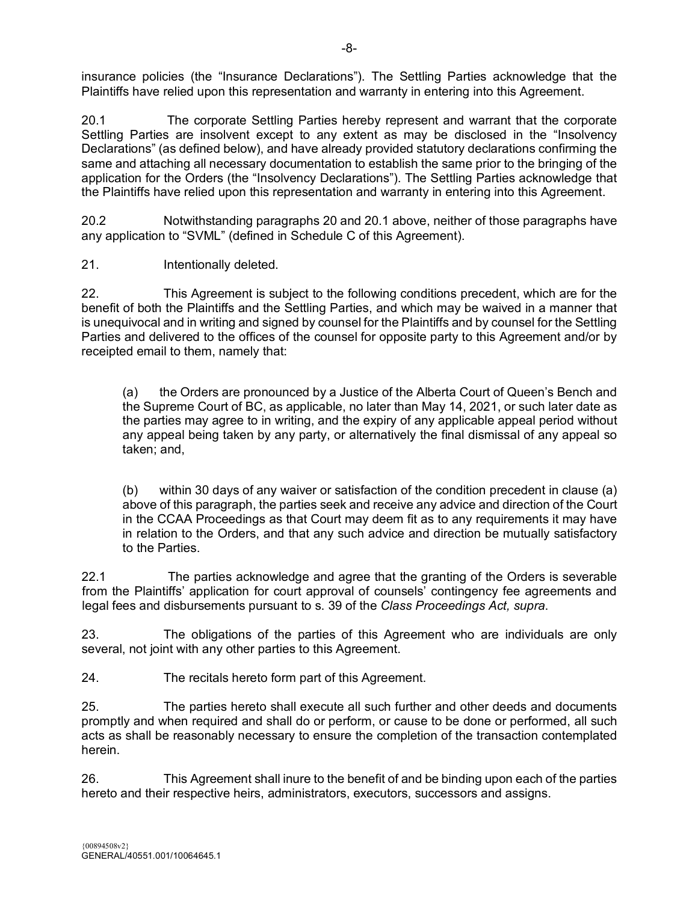insurance policies (the "Insurance Declarations"). The Settling Parties acknowledge that the Plaintiffs have relied upon this representation and warranty in entering into this Agreement.

20.1 The corporate Settling Parties hereby represent and warrant that the corporate Settling Parties are insolvent except to any extent as may be disclosed in the "Insolvency Declarations" (as defined below), and have already provided statutory declarations confirming the same and attaching all necessary documentation to establish the same prior to the bringing of the application for the Orders (the "Insolvency Declarations"). The Settling Parties acknowledge that the Plaintiffs have relied upon this representation and warranty in entering into this Agreement.

20.2 Notwithstanding paragraphs 20 and 20.1 above, neither of those paragraphs have any application to "SVML" (defined in Schedule C of this Agreement).

21. Intentionally deleted.

22. This Agreement is subject to the following conditions precedent, which are for the benefit of both the Plaintiffs and the Settling Parties, and which may be waived in a manner that is unequivocal and in writing and signed by counsel for the Plaintiffs and by counsel for the Settling Parties and delivered to the offices of the counsel for opposite party to this Agreement and/or by receipted email to them, namely that:

(a) the Orders are pronounced by a Justice of the Alberta Court of Queen's Bench and the Supreme Court of BC, as applicable, no later than May 14, 2021, or such later date as the parties may agree to in writing, and the expiry of any applicable appeal period without any appeal being taken by any party, or alternatively the final dismissal of any appeal so taken; and,

(b) within 30 days of any waiver or satisfaction of the condition precedent in clause (a) above of this paragraph, the parties seek and receive any advice and direction of the Court in the CCAA Proceedings as that Court may deem fit as to any requirements it may have in relation to the Orders, and that any such advice and direction be mutually satisfactory to the Parties.

22.1 The parties acknowledge and agree that the granting of the Orders is severable from the Plaintiffs' application for court approval of counsels' contingency fee agreements and legal fees and disbursements pursuant to s. 39 of the *Class Proceedings Act, supra*.

23. The obligations of the parties of this Agreement who are individuals are only several, not joint with any other parties to this Agreement.

24. The recitals hereto form part of this Agreement.

25. The parties hereto shall execute all such further and other deeds and documents promptly and when required and shall do or perform, or cause to be done or performed, all such acts as shall be reasonably necessary to ensure the completion of the transaction contemplated herein.

26. This Agreement shall inure to the benefit of and be binding upon each of the parties hereto and their respective heirs, administrators, executors, successors and assigns.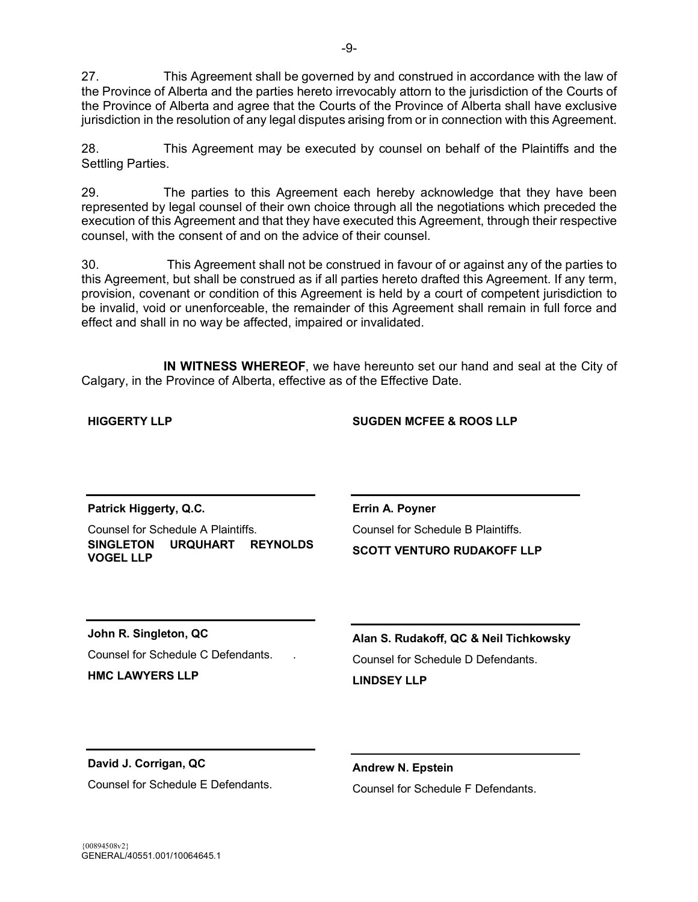27. This Agreement shall be governed by and construed in accordance with the law of the Province of Alberta and the parties hereto irrevocably attorn to the jurisdiction of the Courts of the Province of Alberta and agree that the Courts of the Province of Alberta shall have exclusive jurisdiction in the resolution of any legal disputes arising from or in connection with this Agreement.

28. This Agreement may be executed by counsel on behalf of the Plaintiffs and the Settling Parties.

29. The parties to this Agreement each hereby acknowledge that they have been represented by legal counsel of their own choice through all the negotiations which preceded the execution of this Agreement and that they have executed this Agreement, through their respective counsel, with the consent of and on the advice of their counsel.

30. This Agreement shall not be construed in favour of or against any of the parties to this Agreement, but shall be construed as if all parties hereto drafted this Agreement. If any term, provision, covenant or condition of this Agreement is held by a court of competent jurisdiction to be invalid, void or unenforceable, the remainder of this Agreement shall remain in full force and effect and shall in no way be affected, impaired or invalidated.

**IN WITNESS WHEREOF**, we have hereunto set our hand and seal at the City of Calgary, in the Province of Alberta, effective as of the Effective Date.

| <b>HIGGERTY LLP</b>                                                        | <b>SUGDEN MCFEE &amp; ROOS LLP</b>                    |
|----------------------------------------------------------------------------|-------------------------------------------------------|
| Patrick Higgerty, Q.C.<br>Counsel for Schedule A Plaintiffs.               | Errin A. Poyner<br>Counsel for Schedule B Plaintiffs. |
| <b>URQUHART</b><br><b>SINGLETON</b><br><b>REYNOLDS</b><br><b>VOGEL LLP</b> | <b>SCOTT VENTURO RUDAKOFF LLP</b>                     |
| John R. Singleton, QC                                                      | Alan S. Rudakoff, QC & Neil Tichkowsky                |
| Counsel for Schedule C Defendants.                                         | Counsel for Schedule D Defendants.                    |
| <b>HMC LAWYERS LLP</b>                                                     | <b>LINDSEY LLP</b>                                    |
|                                                                            |                                                       |
| David J. Corrigan, QC                                                      | <b>Andrew N. Epstein</b>                              |
| Counsel for Schedule E Defendants.                                         | Counsel for Schedule F Defendants.                    |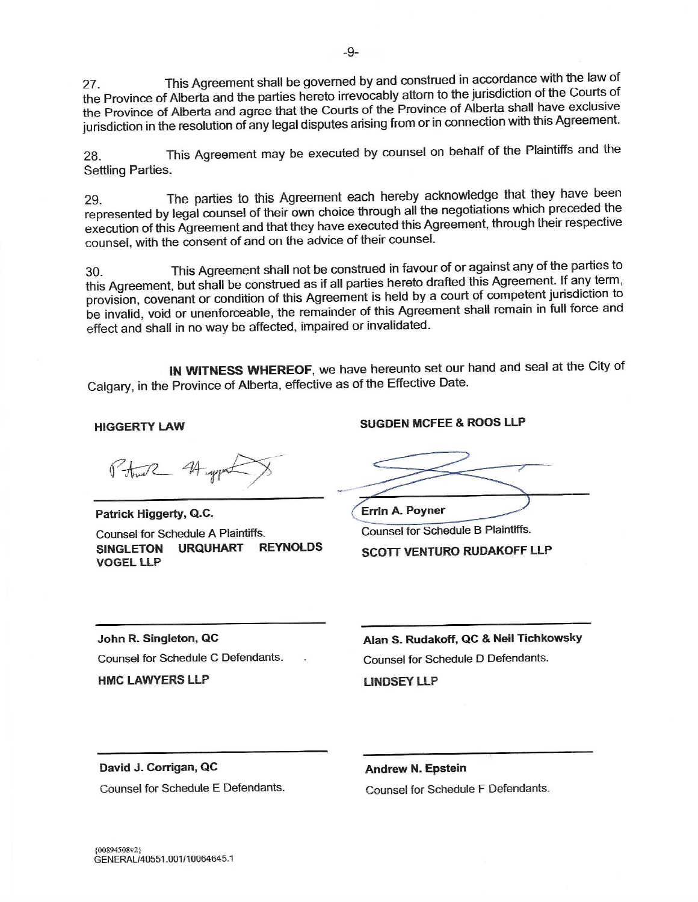This Agreement shall be governed by and construed in accordance with the law of 27. the Province of Alberta and the parties hereto irrevocably attorn to the jurisdiction of the Courts of the Province of Alberta and agree that the Courts of the Province of Alberta shall have exclusive jurisdiction in the resolution of any legal disputes arising from or in connection with this Agreement.

This Agreement may be executed by counsel on behalf of the Plaintiffs and the 28. **Settling Parties.** 

The parties to this Agreement each hereby acknowledge that they have been 29. represented by legal counsel of their own choice through all the negotiations which preceded the execution of this Agreement and that they have executed this Agreement, through their respective counsel, with the consent of and on the advice of their counsel.

This Agreement shall not be construed in favour of or against any of the parties to  $30.$ this Agreement, but shall be construed as if all parties hereto drafted this Agreement. If any term, provision, covenant or condition of this Agreement is held by a court of competent jurisdiction to be invalid, void or unenforceable, the remainder of this Agreement shall remain in full force and effect and shall in no way be affected, impaired or invalidated.

IN WITNESS WHEREOF, we have hereunto set our hand and seal at the City of Calgary, in the Province of Alberta, effective as of the Effective Date.

**HIGGERTY LAW** 

Ptw2 4 yp

Patrick Higgerty, Q.C. Counsel for Schedule A Plaintiffs. SINGLETON URQUHART **REYNOLDS VOGEL LLP** 

**SUGDEN MCFEE & ROOS LLP** 

**Errin A. Poyner Counsel for Schedule B Plaintiffs.** 

**SCOTT VENTURO RUDAKOFF LLP** 

John R. Singleton, QC Counsel for Schedule C Defendants.

**HMC LAWYERS LLP** 

Alan S. Rudakoff, QC & Neil Tichkowsky Counsel for Schedule D Defendants. **LINDSEY LLP** 

David J. Corrigan, QC

Counsel for Schedule E Defendants.

**Andrew N. Epstein** Counsel for Schedule F Defendants.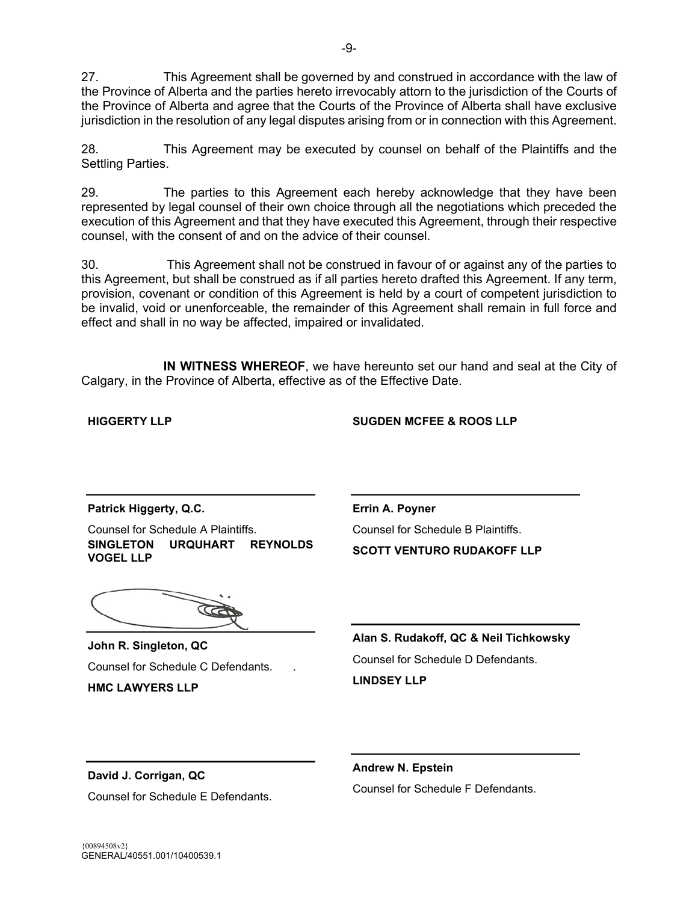27. This Agreement shall be governed by and construed in accordance with the law of the Province of Alberta and the parties hereto irrevocably attorn to the jurisdiction of the Courts of the Province of Alberta and agree that the Courts of the Province of Alberta shall have exclusive jurisdiction in the resolution of any legal disputes arising from or in connection with this Agreement.

28. This Agreement may be executed by counsel on behalf of the Plaintiffs and the Settling Parties.

29. The parties to this Agreement each hereby acknowledge that they have been represented by legal counsel of their own choice through all the negotiations which preceded the execution of this Agreement and that they have executed this Agreement, through their respective counsel, with the consent of and on the advice of their counsel.

30. This Agreement shall not be construed in favour of or against any of the parties to this Agreement, but shall be construed as if all parties hereto drafted this Agreement. If any term, provision, covenant or condition of this Agreement is held by a court of competent jurisdiction to be invalid, void or unenforceable, the remainder of this Agreement shall remain in full force and effect and shall in no way be affected, impaired or invalidated.

**IN WITNESS WHEREOF**, we have hereunto set our hand and seal at the City of Calgary, in the Province of Alberta, effective as of the Effective Date.

**HIGGERTY LLP** 

### **SUGDEN MCFEE & ROOS LLP**

**Patrick Higgerty, Q.C.** 

Counsel for Schedule A Plaintiffs. **SINGLETON URQUHART REYNOLDS VOGEL LLP** 

**John R. Singleton, QC**  Counsel for Schedule C Defendants. . **HMC LAWYERS LLP** 

**Errin A. Poyner**  Counsel for Schedule B Plaintiffs. **SCOTT VENTURO RUDAKOFF LLP** 

**Alan S. Rudakoff, QC & Neil Tichkowsky**  Counsel for Schedule D Defendants. **LINDSEY LLP** 

**David J. Corrigan, QC**  Counsel for Schedule E Defendants. **Andrew N. Epstein**  Counsel for Schedule F Defendants.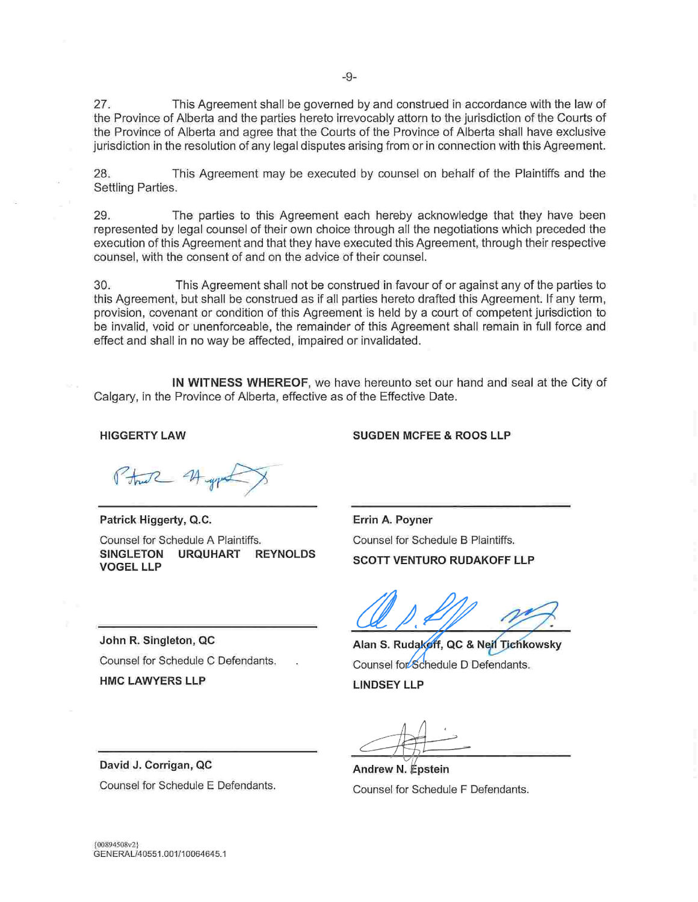27. This Agreement shall be governed by and construed in accordance with the law of the Province of Alberta and the parties hereto irrevocably attorn to the jurisdiction of the Courts of the Province of Alberta and agree that the Courts of the Province of Alberta shall have exclusive jurisdiction in the resolution of any legal disputes arising from or in connection with this Agreement.

This Agreement may be executed by counsel on behalf of the Plaintiffs and the 28. Settling Parties.

29. The parties to this Agreement each hereby acknowledge that they have been represented by legal counsel of their own choice through all the negotiations which preceded the execution of this Agreement and that they have executed this Agreement, through their respective counsel, with the consent of and on the advice of their counsel.

30. This Agreement shall not be construed in favour of or against any of the parties to this Agreement, but shall be construed as if all parties hereto drafted this Agreement. If any term, provision, covenant or condition of this Agreement is held by a court of competent jurisdiction to be invalid, void or unenforceable, the remainder of this Agreement shall remain in full force and effect and shall in no way be affected, impaired or invalidated.

IN WITNESS WHEREOF, we have hereunto set our hand and seal at the City of Calgary, in the Province of Alberta, effective as of the Effective Date.

#### **HIGGERTY LAW**

Patrick Higgerty, Q.C. Counsel for Schedule A Plaintiffs. **SINGLETON URQUHART REYNOLDS VOGEL LLP** 

John R. Singleton, QC Counsel for Schedule C Defendants. **HMC LAWYERS LLP** 

**SUGDEN MCFEE & ROOS LLP** 

Errin A. Poyner Counsel for Schedule B Plaintiffs. **SCOTT VENTURO RUDAKOFF LLP** 

Alan S. Rudakoff, QC & Neil Tichkowsky Counsel for Schedule D Defendants. **LINDSEY LLP** 

Andrew N. Epstein Counsel for Schedule F Defendants.

David J. Corrigan, QC Counsel for Schedule E Defendants.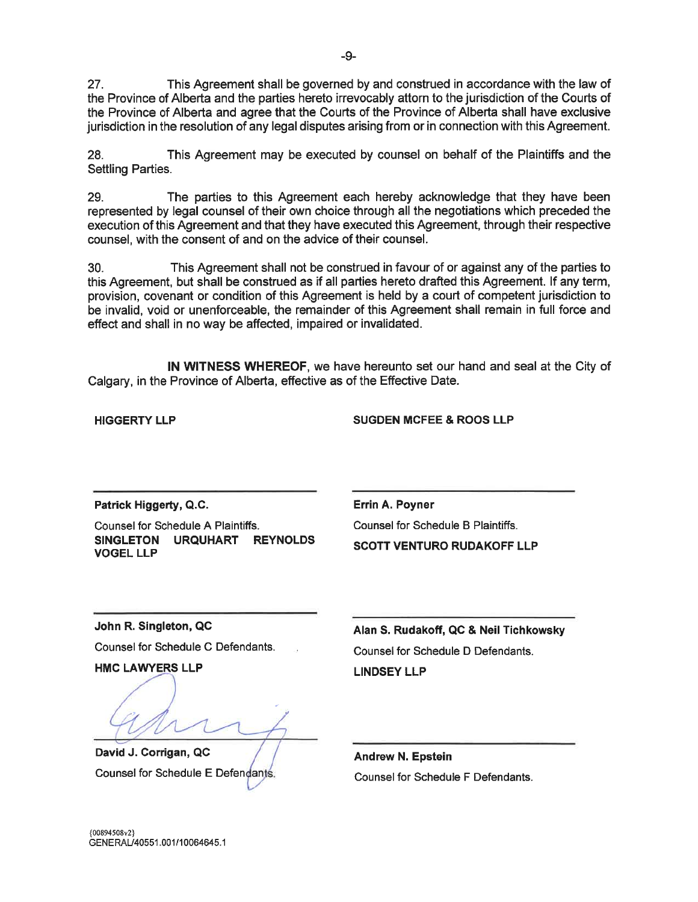27 This Agreement shall be governed by and construed in accordance with the law of the Province of Alberta and the parties hereto irrevocably attorn to the jurisdiction of the Courts of the Province of Alberta and agree that the Courts of the Province of Alberta shall have exclusive jurisdiction in the resolution of any legal disputes arising from or in connection with this Agreement.

This Agreement may be executed by counsel on behalf of the Plaintiffs and the 28 **Settling Parties.** 

29 The parties to this Agreement each hereby acknowledge that they have been represented by legal counsel of their own choice through all the negotiations which preceded the execution of this Agreement and that they have executed this Agreement, through their respective counsel, with the consent of and on the advice of their counsel.

This Agreement shall not be construed in favour of or against any of the parties to  $30<sub>1</sub>$ this Agreement, but shall be construed as if all parties hereto drafted this Agreement. If any term, provision, covenant or condition of this Agreement is held by a court of competent jurisdiction to be invalid, void or unenforceable, the remainder of this Agreement shall remain in full force and effect and shall in no way be affected, impaired or invalidated.

IN WITNESS WHEREOF, we have hereunto set our hand and seal at the City of Calgary, in the Province of Alberta, effective as of the Effective Date.

**HIGGERTY LLP** 

**SUGDEN MCFEE & ROOS LLP** 

Patrick Higgerty, Q.C.

Counsel for Schedule A Plaintiffs. SINGLETON URQUHART REYNOLDS **VOGEL LLP** 

Errin A. Poyner Counsel for Schedule B Plaintiffs. **SCOTT VENTURO RUDAKOFF LLP** 

John R. Singleton, QC

Counsel for Schedule C Defendants.

**HMC LAWYERS LLP** 

David J. Corrigan, QC Counsel for Schedule E Defendants.

Alan S. Rudakoff, QC & Neil Tichkowsky Counsel for Schedule D Defendants. **LINDSEY LLP** 

**Andrew N. Epstein** Counsel for Schedule F Defendants.

{00894508v2} GENERAL/40551.001/10064645.1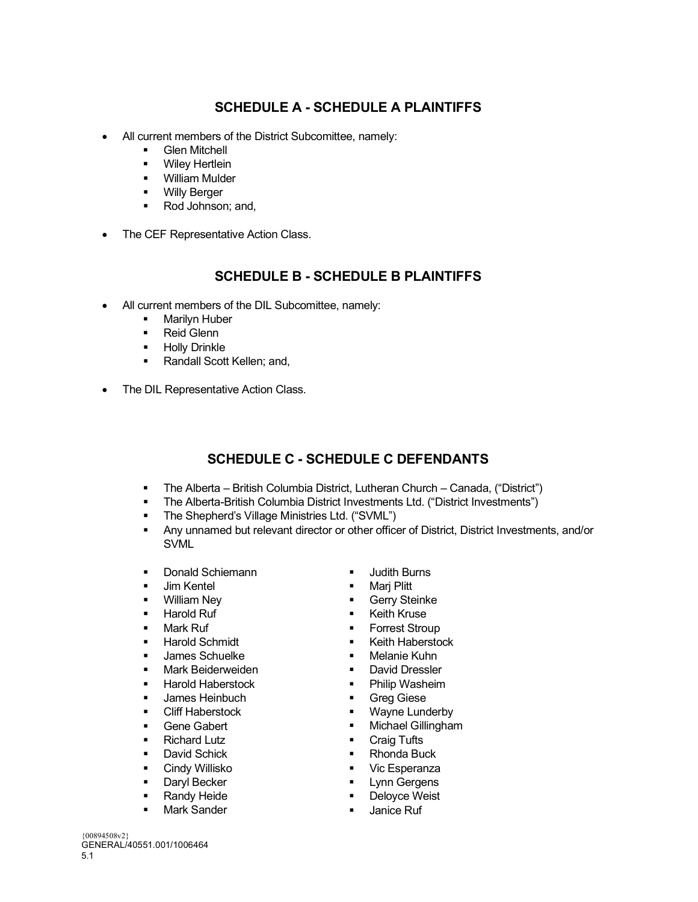# **SCHEDULE A - SCHEDULE A PLAINTIFFS**

- All current members of the District Subcomittee, namely:
	- **Glen Mitchell**
	- **•** Wiley Hertlein
	- **•** William Mulder
	- Willy Berger<br>■ Rod. Johnsor
	- Rod Johnson; and,
- The CEF Representative Action Class.

# **SCHEDULE B - SCHEDULE B PLAINTIFFS**

- All current members of the DIL Subcomittee, namely:
	- **Marilyn Huber**
	- **Reid Glenn**
	- **-** Holly Drinkle
	- Randall Scott Kellen; and,
- The DIL Representative Action Class.

# **SCHEDULE C - SCHEDULE C DEFENDANTS**

- The Alberta British Columbia District, Lutheran Church Canada, ("District")
- The Alberta-British Columbia District Investments Ltd. ("District Investments")
- **The Shepherd's Village Ministries Ltd. ("SVML")**
- Any unnamed but relevant director or other officer of District, District Investments, and/or SVML
- **•** Donald Schiemann
- **Jim Kentel**
- **•** William Ney
- **Harold Ruf**
- **-** Mark Ruf
- **Harold Schmidt**
- **James Schuelke**
- **Mark Beiderweiden**
- **Harold Haberstock**
- James Heinbuch
- **E** Cliff Haberstock
- **Gene Gabert**
- **Richard Lutz**
- **David Schick**
- **-** Cindy Willisko
- **Daryl Becker**
- Randy Heide
- **Mark Sander**
- **Judith Burns**
- **Mari Plitt**
- **Gerry Steinke**
- Keith Kruse
- **Forrest Stroup**
- **Keith Haberstock**
- **•** Melanie Kuhn
- **David Dressler**
- **•** Philip Washeim
- **Greg Giese**
- **Wayne Lunderby**
- **Kata Michael Gillingham**
- **Craig Tufts**
- Rhonda Buck
- **Vic Esperanza**
- Lynn Gergens
- **Deloyce Weist**
- **Janice Ruf**

{00894508v2} GENERAL/40551.001/1006464 5.1